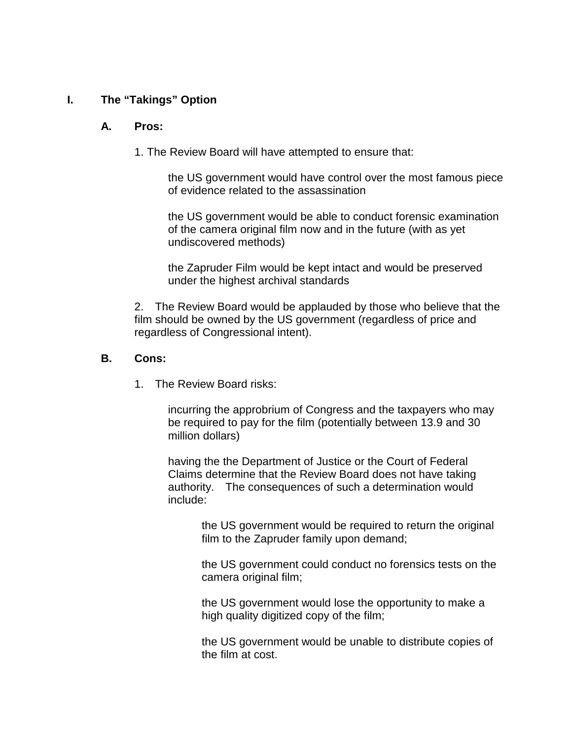### **I. The "Takings" Option**

#### **A. Pros:**

1. The Review Board will have attempted to ensure that:

the US government would have control over the most famous piece of evidence related to the assassination

the US government would be able to conduct forensic examination of the camera original film now and in the future (with as yet undiscovered methods)

the Zapruder Film would be kept intact and would be preserved under the highest archival standards

2. The Review Board would be applauded by those who believe that the film should be owned by the US government (regardless of price and regardless of Congressional intent).

#### **B. Cons:**

1. The Review Board risks:

incurring the approbrium of Congress and the taxpayers who may be required to pay for the film (potentially between 13.9 and 30 million dollars)

having the the Department of Justice or the Court of Federal Claims determine that the Review Board does not have taking authority. The consequences of such a determination would include:

> the US government would be required to return the original film to the Zapruder family upon demand;

> the US government could conduct no forensics tests on the camera original film;

the US government would lose the opportunity to make a high quality digitized copy of the film;

the US government would be unable to distribute copies of the film at cost.